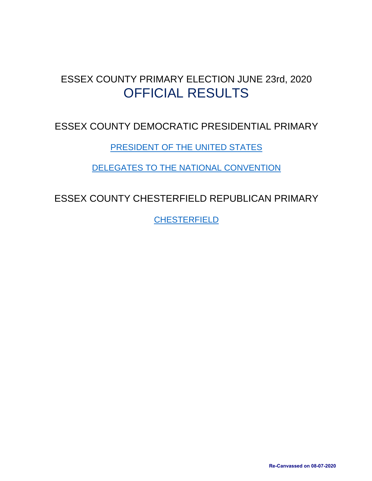# <span id="page-0-0"></span>ESSEX COUNTY PRIMARY ELECTION JUNE 23rd, 2020 OFFICIAL RESULTS

## ESSEX COUNTY DEMOCRATIC PRESIDENTIAL PRIMARY

[PRESIDENT OF THE UNITED STATES](#page-1-0)

[DELEGATES TO THE NATIONAL CONVENTION](#page-2-0)

<span id="page-0-1"></span>ESSEX COUNTY CHESTERFIELD REPUBLICAN PRIMARY

[CHESTERFIELD](#page-5-0)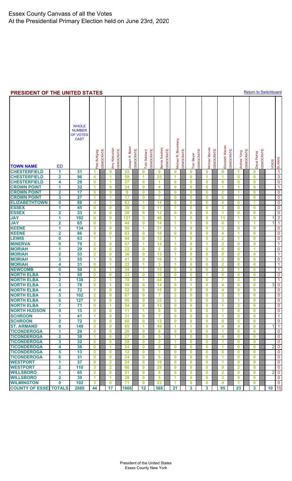#### <span id="page-1-0"></span>**PRESIDENT OF THE UNITED STATES**

**[Return to Switchboard](#page-0-0)** 

|                                         |                         | <b>WHOLE</b><br><b>NUMBER</b><br>OF VOTES<br><b>CAST</b> | Pete Buttigieg | <b>DEMOCRATIC</b> | Amy Klobuchar<br>DEMOCRATIC | R. Biden<br>Joseph | DEMOCRATIC | Tulsi Gabbard | DEMOCRATIC | Bernie Sanders | <b>DEMOCRATIC</b> | Vichael R. Bloomberg    | DEMOCRATIC | Tom Steyer   | <b>DEMOCRATIC</b> | Michael Bennet          | DEMOCRATIC | Elizabeth Warren        | DEMOCRATIC | Andrew Yang    | DEMOCRATIC | Deval Patrick | DEMOCRATIC | VOIDS          | <b>BLANKS</b>            |
|-----------------------------------------|-------------------------|----------------------------------------------------------|----------------|-------------------|-----------------------------|--------------------|------------|---------------|------------|----------------|-------------------|-------------------------|------------|--------------|-------------------|-------------------------|------------|-------------------------|------------|----------------|------------|---------------|------------|----------------|--------------------------|
| <b>TOWN NAME</b><br><b>CHESTERFIELD</b> | <b>ED</b><br>1          | 31                                                       |                |                   | $\bf{0}$                    | 22                 |            | 0             |            | 6              |                   | 0                       |            | 0            |                   | 0                       |            | $\bf{0}$                |            | 1              |            |               |            |                | $\overline{1}$           |
| <b>CHESTERFIELD</b>                     |                         | 96                                                       | 1<br>4         |                   | 1                           | 59                 |            | 1             |            | 25             |                   | 1                       |            | $\mathbf 0$  |                   | 1                       |            | 1                       |            | 0              |            | 0<br>$\bf{0}$ |            |                | 3                        |
| <b>CHESTERFIELD</b>                     | $\mathbf{2}$<br>4       | 29                                                       | $\bf{0}$       |                   | 1                           | 27                 |            | $\mathbf 0$   |            | 1              |                   | $\bf{0}$                |            | 0            |                   | 0                       |            | $\bf{0}$                |            | 0              |            | $\bf{0}$      |            |                | 0                        |
| <b>CROWN POINT</b>                      | 1                       | 32                                                       | 1              |                   | $\bf{0}$                    | 24                 |            | $\mathbf 0$   |            | 4              |                   | $\bf{0}$                |            | $\bf{0}$     |                   | $\mathbf 0$             |            | 1                       |            | 1              |            | $\bf{0}$      |            |                | $\overline{1}$           |
| <b>CROWN POINT</b>                      | $\overline{\mathbf{2}}$ | 17                                                       | $\bf{0}$       |                   | $\bf{0}$                    | 9                  |            | $\mathbf 0$   |            | 5              |                   | $\bf{0}$                |            | 0            |                   | $\pmb{0}$               |            | $\overline{2}$          |            | 1              |            | $\bf{0}$      |            |                | $\overline{\mathbf{0}}$  |
| <b>CROWN POINT</b>                      | 3                       | $\overline{27}$                                          | 1              |                   | 1                           | 17                 |            | $\mathbf 0$   |            | 7              |                   | $\bf{0}$                |            | 0            |                   | $\bf{0}$                |            | $\mathbf 0$             |            | 1              |            | $\bf{0}$      |            |                | $\overline{\mathbf{0}}$  |
| <b>ELIZABETHTOWN</b>                    | $\boldsymbol{0}$        | 88                                                       | 4              |                   | 1                           | 63                 |            | 1             |            | 14             |                   | 0                       |            | 0            |                   | $\bf{0}$                |            | 4                       |            | 0              |            | 1             |            |                | $\boldsymbol{0}$         |
| <b>ESSEX</b>                            | 1                       | 45                                                       | $\bf{0}$       |                   | $\mathbf 0$                 | 30                 |            | $\mathbf 0$   |            | 11             |                   | 1                       |            | 0            |                   | 0                       |            | 3                       |            | 0              |            | $\bf{0}$      |            |                | $\overline{\mathbf{0}}$  |
| <b>ESSEX</b>                            | $\overline{\mathbf{2}}$ | 33                                                       | $\bf{0}$       |                   | $\mathbf 0$                 | 20                 |            | $\mathbf 0$   |            | 12             |                   | $\bf{0}$                |            | 0            |                   | $\mathbf 0$             |            | 1                       |            | $\bf{0}$       |            | $\bf{0}$      |            |                | $\overline{\mathbf{0}}$  |
| <b>JAY</b>                              | 1                       | 192                                                      | 6              |                   | $\bf{0}$                    | 121                |            | 3             |            | 46             |                   | 1                       |            | 0            |                   | $\pmb{0}$               |            | $\overline{11}$         |            | 1              |            | $\bf{0}$      |            | 1              | $\overline{2}$           |
| <b>JAY</b>                              | $\overline{\mathbf{2}}$ | 65                                                       | $\bf{0}$       |                   | 1                           | 44                 |            | $\mathbf 0$   |            | 14             |                   | 1                       |            | 1            |                   | $\mathbf 0$             |            | $\mathbf 0$             |            | 1              |            | 1             |            | 1              | $\overline{1}$           |
| <b>KEENE</b>                            | 1                       | 134                                                      | 3              |                   | $\bf{0}$                    | 95                 |            | 1             |            | 31             |                   | 1                       |            | 0            |                   | $\bf{0}$                |            | 3                       |            | 0              |            | $\bf{0}$      |            |                | $\overline{\mathbf{0}}$  |
| <b>KEENE</b>                            | $\overline{\mathbf{2}}$ | 86                                                       | $\bf{0}$       |                   | $\bf{0}$                    | 63                 |            | $\mathbf 0$   |            | 18             |                   | $\bf{0}$                |            | 0            |                   | $\mathbf 0$             |            | 4                       |            | 1              |            | $\bf{0}$      |            |                | $\overline{\mathbf{0}}$  |
| <b>LEWIS</b>                            | $\bf{0}$                | 63                                                       | 1              |                   | 1                           | 44                 |            | $\mathbf 0$   |            | 13             |                   | 1                       |            | 0            |                   | $\bf{0}$                |            | $\overline{2}$          |            | 1              |            | $\bf{0}$      |            |                | $\overline{\mathbf{0}}$  |
| <b>MINERVA</b>                          | $\bf{0}$                | 79                                                       | $\overline{2}$ |                   | $\bf{0}$                    | 57                 |            | -1            |            | 14             |                   | 1                       |            | 0            |                   | 1                       |            | $\overline{\mathbf{2}}$ |            | 0              |            | $\bf{0}$      |            |                | $\mathbf{1}$             |
| <b>MORIAH</b>                           | 1                       | 29                                                       | $\bf{0}$       |                   | $\bf{0}$                    | $\overline{22}$    |            | $\mathbf 0$   |            | 6              |                   | $\bf{0}$                |            | 0            |                   | 0                       |            | $\bf{0}$                |            | 0              |            | 1             |            |                | $\pmb{0}$                |
| <b>MORIAH</b>                           | $\overline{\mathbf{2}}$ | 53                                                       | $\overline{2}$ |                   | $\bf{0}$                    | 36                 |            | $\mathbf 0$   |            | 13             |                   | 1                       |            | 0            |                   | $\bf{0}$                |            | $\mathbf 0$             |            | 0              |            | $\bf{0}$      |            |                | $\overline{1}$           |
| <b>MORIAH</b>                           | 3                       | 55                                                       | 1              |                   | $\bf{0}$                    | 41                 |            | $\mathbf 0$   |            | 10             |                   | 1                       |            | 0            |                   | $\mathbf 0$             |            | $\overline{\mathbf{2}}$ |            | 0              |            | $\bf{0}$      |            |                | $\overline{\mathbf{0}}$  |
| <b>MORIAH</b>                           | 4                       | 31                                                       | $\bf{0}$       |                   | 1                           | 22                 |            | 1             |            | 3              |                   | 1                       |            | 0            |                   | $\bf{0}$                |            | $\overline{2}$          |            | $\bf{0}$       |            | $\bf{0}$      |            |                | $\overline{1}$           |
| <b>NEWCOMB</b>                          | $\bf{0}$                | 50                                                       | $\bf{0}$       |                   | 1                           | 34                 |            | 1             |            | 10             |                   | $\bf{0}$                |            | 0            |                   | $\overline{\mathbf{0}}$ |            | $\overline{\mathbf{2}}$ |            | 1              |            | $\bf{0}$      |            |                | $\mathbf{1}$             |
| <b>NORTH ELBA</b>                       | 1                       | 50                                                       | $\bf{0}$       |                   | $\bf{0}$                    | 33                 |            | $\mathbf 0$   |            | 16             |                   | $\bf{0}$                |            | 0            |                   | 1                       |            | $\mathbf 0$             |            | 0              |            | $\bf{0}$      |            |                | $\overline{\mathbf{0}}$  |
| <b>NORTH ELBA</b>                       | $\overline{\mathbf{2}}$ | 138                                                      | $\mathbf{2}$   |                   | 1                           | 78                 |            | 1             |            | 44             |                   | 1                       |            | 0            |                   | $\bf{0}$                |            | 7                       |            | 3              |            | $\bf{0}$      |            |                | $\overline{1}$           |
| <b>NORTH ELBA</b>                       | 3                       | 78                                                       | $\bf{0}$       |                   | 1                           | 55                 |            | $\mathbf 0$   |            | 14             |                   | $\bf{0}$                |            | 1            |                   | $\bf{0}$                |            | 4                       |            | 0              |            | $\bf{0}$      |            | 3              | $\overline{\mathbf{0}}$  |
| <b>NORTH ELBA</b>                       | 4                       | 72                                                       | 1              |                   | $\bf{0}$                    | 52                 |            | $\mathbf 0$   |            | 15             |                   | $\bf{0}$                |            | $\bf{0}$     |                   | $\bf{0}$                |            | 4                       |            | $\bf{0}$       |            | $\bf{0}$      |            |                | $\pmb{0}$                |
| <b>NORTH ELBA</b>                       | 5                       | 102                                                      | $\mathbf{2}$   |                   | $\bf{0}$                    | 87                 |            | $\bf{0}$      |            | 7              |                   | $\overline{\mathbf{2}}$ |            | 0            |                   | $\pmb{0}$               |            | 3                       |            | 1              |            | $\bf{0}$      |            |                | $\overline{\mathbf{0}}$  |
| <b>NORTH ELBA</b>                       | 6                       | 127                                                      | $\bf{0}$       |                   | $\bf{0}$                    | 95                 |            | $\mathbf 0$   |            | 25             |                   | 3                       |            | 0            |                   | $\bf{0}$                |            | 3                       |            | 1              |            | $\bf{0}$      |            |                | $\overline{\mathbf{0}}$  |
| <b>NORTH ELBA</b>                       | 7                       | 71                                                       | 0              |                   | 1                           | 54                 |            | 0             |            | 13             |                   | 0                       |            | 0            |                   | $\mathbf 0$             |            | 1                       |            | 2              |            | $\bf{0}$      |            |                | $\overline{\mathbf{0}}$  |
| <b>NORTH HUDSON</b>                     | $\mathbf 0$             | 13                                                       | $\mathbf 0$    |                   | $\bf{0}$                    | 11                 |            | 1             |            | 0              |                   | $\bf{0}$                |            | 0            |                   | $\mathbf{0}$            |            |                         |            | 0              |            | $\mathbf{0}$  |            |                | 0                        |
| <b>SCHROON</b>                          | 1                       | 41                                                       | 1              |                   | $\bf{0}$                    | 31                 |            | $\bf{0}$      |            | 7              |                   | $\bf{0}$                |            | 0            |                   | $\mathbf{0}$            |            | -1                      |            | 0              |            | $\bf{0}$      |            |                | $\blacktriangleleft$     |
| <b>SCHROON</b>                          | $\mathbf{2}$            | 72                                                       | $\mathbf{0}$   |                   | $\bf{0}$                    | 60                 |            | $\bf{0}$      |            | 12             |                   | $\bf{0}$                |            | $\mathbf{0}$ |                   | $\mathbf{0}$            |            | $\mathbf{0}$            |            | $\mathbf{0}$   |            | $\mathbf{0}$  |            |                | $\mathbf 0$              |
| <b>ST. ARMAND</b>                       | $\mathbf{0}$            | 149                                                      | $\overline{2}$ |                   | $\bf{0}$                    | 85                 |            | -1            |            | 49             |                   | -1                      |            | 1            |                   | $\bf{0}$                |            | 4                       |            | 4              |            | $\bf{0}$      |            | $\mathbf{1}$   | $\overline{\phantom{a}}$ |
| <b>TICONDEROGA</b>                      | 1                       | 29                                                       | $\mathbf{0}$   |                   | $\bf{0}$                    | 20                 |            | $\mathbf 0$   |            | 8              |                   | $\bf{0}$                |            | 0            |                   | $\mathbf 0$             |            | -1                      |            | 0              |            | $\bf{0}$      |            |                | $\mathbf 0$              |
| <b>TICONDEROGA</b>                      | $\overline{2}$          | 38                                                       | 1              |                   | $\bf{0}$                    | 27                 |            | $\bf{0}$      |            | 5              |                   | 1                       |            | 0            |                   | $\mathbf{0}$            |            | 4                       |            | 0              |            | $\bf{0}$      |            |                | $\mathbf{0}$             |
| <b>TICONDEROGA</b>                      | 3                       | 32                                                       | $\bf{0}$       |                   | $\bf{0}$                    | 28                 |            | $\mathbf 0$   |            | $\overline{2}$ |                   | 1                       |            | $\mathbf{0}$ |                   | $\mathbf{0}$            |            | -1                      |            | 0              |            | $\bf{0}$      |            |                | $\mathbf{0}$             |
| <b>TICONDEROGA</b>                      | 4                       | 36                                                       | $\mathbf{0}$   |                   | 1                           | 24                 |            | $\bf{0}$      |            | 8              |                   | $\bf{0}$                |            | 0            |                   | $\mathbf{0}$            |            | $\blacktriangleleft$    |            | $\mathbf{0}$   |            | $\bf{0}$      |            | 2              | $\mathbf 0$              |
| <b>TICONDEROGA</b>                      | 5                       | 13                                                       | $\mathbf 0$    |                   | $\bf{0}$                    | 12                 |            | $\mathbf 0$   |            | 1              |                   | $\bf{0}$                |            | 0            |                   | $\mathbf 0$             |            | $\bf{0}$                |            | 0              |            | $\bf{0}$      |            |                | $\mathbf 0$              |
| <b>TICONDEROGA</b>                      | 6                       | 31                                                       | $\mathbf{0}$   |                   | $\bf{0}$                    | 24                 |            | $\mathbf 0$   |            | 6              |                   | $\bf{0}$                |            | 0            |                   | $\mathbf 0$             |            | -1                      |            | 0              |            | $\bf{0}$      |            |                | $\mathbf 0$              |
| <b>WESTPORT</b>                         | 1                       | 37                                                       | $\mathbf 0$    |                   | $\overline{2}$              | 24                 |            | $\mathbf 0$   |            | 10             |                   | $\bf{0}$                |            | 0            |                   | $\mathbf 0$             |            | 1                       |            | 0              |            | $\bf{0}$      |            |                | $\mathbf{0}$             |
| <b>WESTPORT</b>                         | $\overline{2}$          | 110                                                      | 3              |                   | $\overline{2}$              | 66                 |            | $\bf{0}$      |            | 28             |                   | $\bf{0}$                |            | $\mathbf{0}$ |                   | $\mathbf{0}$            |            | $\mathbf{9}$            |            | $\overline{2}$ |            | $\bf{0}$      |            |                | $\mathbf{0}$             |
| <b>WILLSBORO</b>                        | 1                       | 65                                                       | $\overline{2}$ |                   | $\bf{0}$                    | 51                 |            | $\bf{0}$      |            | 8              |                   | $\bf{0}$                |            | 0            |                   | $\mathbf{0}$            |            | $\overline{2}$          |            | $\mathbf{0}$   |            | $\bf{0}$      |            | $\overline{2}$ | $\mathbf 0$              |
| <b>WILLSBORO</b>                        | $\overline{\mathbf{2}}$ | 39                                                       | 1              |                   | 1                           | 28                 |            | $\mathbf 0$   |            | 5              |                   | 1                       |            | 0            |                   | $\mathbf 0$             |            | 3                       |            | 0              |            | $\bf{0}$      |            |                | $\mathbf{0}$             |
| <b>WILMINGTON</b>                       | $\mathbf{0}$            | 102                                                      | $\mathbf{3}$   |                   | $\bf{0}$                    | 71                 |            | $\mathbf 0$   |            | 22             |                   | 1                       |            | 0            |                   | $\mathbf{0}$            |            | 4                       |            | 1              |            | $\bf{0}$      |            |                | $\mathbf 0$              |
| <b>COUNTY OF ESSE) TOTALS</b>           |                         | 2680                                                     | 44             |                   | 17                          | 1866               |            | 12            |            | 568            |                   | 21                      |            | 3            |                   | 3                       |            | 95                      |            | 23             |            | $\mathbf{3}$  |            | 10 15          |                          |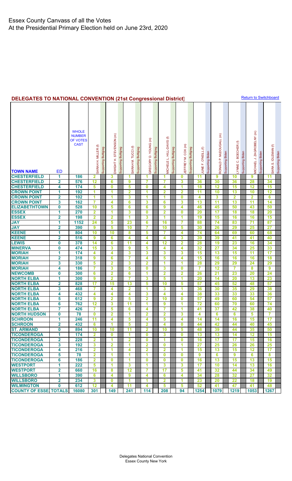<span id="page-2-0"></span>

| <b>DELEGATES TO NATIONAL CONVENTION (21st Congressional District)</b> |  |
|-----------------------------------------------------------------------|--|
|-----------------------------------------------------------------------|--|

**[Return to Switchboard](#page-0-0)** 

| <b>TOWN NAME</b>                       | ED                            | <b>WHOLE</b><br><b>NUMBER</b><br>OF VOTES<br><b>CAST</b> | SARAH H. MILLER (f)            | Buttigleg<br>Supporting | STEVENSON (m)<br>DWIGHT H.   | Supporting Buttigleg | SARAH M. TUCCI (f)      | Buttigieg<br>Supporting | GREGORY D. YOUNG (m)         | Supporting Buttigieg | MICHELE L. HILL-DAVIS (f)    | Supporting Buttigieg | EFFREY M. COX (m)       | Supporting Buttigleg | $\mathbf \epsilon$<br>JUNE F. O'NEILL | Supporting Biden | RONALD P. McDOUGALL (m) | Biden<br>Supporting | $\mathop{\mathrm{\mathsf{e}}}\nolimits$<br><b>BOECHER</b><br>ö<br>LYNNE | Supporting Biden | MICHAEL J. ZAGROBELNY (m) | Supporting Biden | SARA S. IDLEMAN (f) | Supporting Biden |
|----------------------------------------|-------------------------------|----------------------------------------------------------|--------------------------------|-------------------------|------------------------------|----------------------|-------------------------|-------------------------|------------------------------|----------------------|------------------------------|----------------------|-------------------------|----------------------|---------------------------------------|------------------|-------------------------|---------------------|-------------------------------------------------------------------------|------------------|---------------------------|------------------|---------------------|------------------|
| <b>CHESTERFIELD</b>                    | 1                             | 186                                                      | 2                              |                         | 3                            |                      | 1                       |                         | 1                            |                      | 1                            |                      | $\bf{0}$                |                      | 11                                    |                  | 9                       |                     | 10                                                                      |                  | 9                         |                  | 11                  |                  |
| <b>CHESTERFIELD</b>                    | $\mathbf{2}$                  | 576                                                      | 12                             |                         | 6                            |                      | 9                       |                         | 7                            |                      | 7                            |                      | 3                       |                      | 36                                    |                  | 30                      |                     | 36                                                                      |                  | 28                        |                  | 34                  |                  |
| <b>CHESTERFIELD</b>                    | 4                             | 174                                                      | 5                              |                         | $\bf{0}$                     |                      | 5                       |                         | 0                            |                      | 4                            |                      | 1                       |                      | 18                                    |                  | 12                      |                     | 15                                                                      |                  | 12                        |                  | 15                  |                  |
| <b>CROWN POINT</b>                     | 1                             | 192                                                      | 1                              |                         | 1                            |                      | $\overline{\mathbf{2}}$ |                         | 1                            |                      | $\overline{2}$               |                      | $\overline{2}$          |                      | 11                                    |                  | 10                      |                     | 13                                                                      |                  | 10                        |                  | 12                  |                  |
| <b>CROWN POINT</b>                     | 2                             | 102                                                      | 1                              |                         | 1                            |                      | 3                       |                         | 1                            |                      | 1                            |                      | $\bf{0}$                |                      | 4                                     |                  | 3                       |                     | $\overline{\mathbf{2}}$                                                 |                  | $\overline{\mathbf{2}}$   |                  | 6                   |                  |
| <b>CROWN POINT</b>                     | 3                             | 162                                                      | 7                              |                         | 4                            |                      | 6                       |                         | 3                            |                      | 6                            |                      | 3                       |                      | 13                                    |                  | 11                      |                     | 13                                                                      |                  | 11                        |                  | 14                  |                  |
| <b>ELIZABETHTOWN</b><br><b>ESSEX</b>   | 0                             | 528                                                      | 10                             |                         | 5                            |                      | 6                       |                         | 6                            |                      | 9                            |                      | $\overline{\bf{4}}$     |                      | 46                                    |                  | 45                      |                     | 50                                                                      |                  | 43                        |                  | 50                  |                  |
| <b>ESSEX</b>                           | 1<br>$\overline{\mathbf{2}}$  | 270<br>198                                               | $\overline{2}$<br>$\mathbf{2}$ |                         | 1<br>$\overline{\mathbf{2}}$ |                      | 3<br>1                  |                         | $\bf{0}$<br>3                |                      | $\overline{\mathbf{2}}$<br>1 |                      | $\bf{0}$<br>1           |                      | 20<br>19                              |                  | 17<br>15                |                     | 18<br>16                                                                |                  | 18<br>16                  |                  | 20<br>15            |                  |
| <b>JAY</b>                             | 1                             | 1152                                                     | 24                             |                         | 5                            |                      | 23                      |                         | 6                            |                      | 16                           |                      | 7                       |                      | 88                                    |                  | 74                      |                     | 83                                                                      |                  | 71                        |                  | 87                  |                  |
| <b>JAY</b>                             | 2                             | 390                                                      | 9                              |                         | 5                            |                      | 10                      |                         | 7                            |                      | 10                           |                      | 5                       |                      | 30                                    |                  | 26                      |                     | 29                                                                      |                  | 25                        |                  | 27                  |                  |
| <b>KEENE</b>                           | 1                             | 804                                                      | 10                             |                         | 10                           |                      | 8                       |                         | 5                            |                      | 7                            |                      | 4                       |                      | 74                                    |                  | 64                      |                     | 69                                                                      |                  | 60                        |                  | 68                  |                  |
| <b>KEENE</b>                           | $\overline{\mathbf{2}}$       | 516                                                      | 9                              |                         | 6                            |                      | 4                       |                         | 4                            |                      | 4                            |                      | 3                       |                      | 39                                    |                  | 39                      |                     | 41                                                                      |                  | 41                        |                  | 40                  |                  |
| <b>LEWIS</b>                           | 0                             | 378                                                      | 14                             |                         | $\overline{\mathbf{6}}$      |                      | 11                      |                         | 4                            |                      | 12                           |                      | $\overline{\mathbf{2}}$ |                      | 28                                    |                  | 19                      |                     | 23                                                                      |                  | 16                        |                  | 34                  |                  |
| <b>MINERVA</b>                         | $\bf{0}$                      | 474                                                      | 15                             |                         | 3                            |                      | 9                       |                         | 5                            |                      | 4                            |                      | 4                       |                      | 32                                    |                  | 27                      |                     | 34                                                                      |                  | 25                        |                  | 33                  |                  |
| <b>MORIAH</b>                          | 1                             | 174                                                      | 4                              |                         | $\overline{\mathbf{4}}$      |                      | 3                       |                         | 3                            |                      | 3                            |                      | 3                       |                      | 15                                    |                  | 13                      |                     | 15                                                                      |                  | $\overline{11}$           |                  | 17                  |                  |
| <b>MORIAH</b>                          | $\overline{\mathbf{2}}$       | 318                                                      | 9                              |                         | 6                            |                      | 7                       |                         | 4                            |                      | 5                            |                      | 4                       |                      | 15                                    |                  | 16                      |                     | 16                                                                      |                  | 16                        |                  | 18                  |                  |
| <b>MORIAH</b>                          | 3                             | 330                                                      | 5                              |                         | $\overline{\mathbf{2}}$      |                      | 3                       |                         | $\overline{\mathbf{2}}$      |                      | 1                            |                      | 1                       |                      | 28                                    |                  | 29                      |                     | 29                                                                      |                  | 24                        |                  | 29                  |                  |
| <b>MORIAH</b>                          | 4                             | 186                                                      | 7                              |                         | 3                            |                      | 5                       |                         | 0                            |                      | 3                            |                      | $\bf{0}$                |                      | 7                                     |                  | 12                      |                     | 7                                                                       |                  | 8                         |                  | $\boldsymbol{9}$    |                  |
| <b>NEWCOMB</b>                         | 0                             | 300                                                      | 6                              |                         | $\overline{\mathbf{2}}$      |                      | 6                       |                         | 1                            |                      | $\overline{2}$               |                      | $\overline{\mathbf{2}}$ |                      | 26                                    |                  | 21                      |                     | 23                                                                      |                  | 20                        |                  | 24                  |                  |
| <b>NORTH ELBA</b>                      | 1                             | 300                                                      | $\bf{9}$                       |                         | $\overline{\mathbf{2}}$      |                      | 7                       |                         | 3                            |                      | 5                            |                      | 1                       |                      | 20                                    |                  | 14                      |                     | 20                                                                      |                  | 13                        |                  | 23                  |                  |
| <b>NORTH ELBA</b>                      | $\overline{\mathbf{2}}$       | 828                                                      | 17                             |                         | 15                           |                      | 13                      |                         | 5                            |                      | 10                           |                      | 5                       |                      | 57                                    |                  | 45                      |                     | 52                                                                      |                  | 48                        |                  | 57                  |                  |
| <b>NORTH ELBA</b>                      | 3                             | 468                                                      | $\overline{7}$                 |                         | 4                            |                      | $\overline{\mathbf{2}}$ |                         | 1                            |                      | 3                            |                      | 1                       |                      | 36                                    |                  | 30                      |                     | 35                                                                      |                  | 29                        |                  | 38                  |                  |
| <b>NORTH ELBA</b><br><b>NORTH ELBA</b> | 4<br>5                        | 432<br>612                                               | 4<br>9                         |                         | 4<br>$\overline{\mathbf{2}}$ |                      | 4<br>5                  |                         | 3<br>$\overline{\mathbf{2}}$ |                      | 4<br>10                      |                      | 4<br>$\mathbf 0$        |                      | 38<br>57                              |                  | 33<br>49                |                     | 33<br>60                                                                |                  | 33<br>54                  |                  | 36<br>57            |                  |
| <b>ELBA</b><br><b>NORTH</b>            | 6                             | 762                                                      | 12                             |                         | 3                            |                      | 11                      |                         | 1                            |                      | 9                            |                      | 1                       |                      | 72                                    |                  | 60                      |                     | 70                                                                      |                  | 60                        |                  | 74                  |                  |
| <b>NORTH ELBA</b>                      | 7                             | 426                                                      | 7                              |                         | 5                            |                      | 6                       |                         | 4                            |                      | 7                            |                      | 1                       |                      | 41                                    |                  | 37                      |                     | 42                                                                      |                  | 38                        |                  | 40                  |                  |
| <b>NORTH HUDSON</b>                    | 0                             | 78                                                       | $\bf{0}$                       |                         | $\overline{2}$               |                      | 1                       |                         | 2                            |                      | $\overline{2}$               |                      | 3                       |                      | 4                                     |                  | 6                       |                     | 6                                                                       |                  | 5                         |                  | 7                   |                  |
| <b>SCHROON</b>                         | 1                             | 246                                                      | 11                             |                         | 4                            |                      | 5                       |                         | 4                            |                      | 5                            |                      | 4                       |                      | 14                                    |                  | 14                      |                     | 16                                                                      |                  | 15                        |                  | 17                  |                  |
| <b>SCHROON</b>                         | $\overline{2}$                | 432                                                      | 6                              |                         | 1                            |                      | 5                       |                         | $\overline{2}$               |                      | 4                            |                      | $\bf{0}$                |                      | 44                                    |                  | 42                      |                     | 44                                                                      |                  | 40                        |                  | 45                  |                  |
| <b>ST. ARMAND</b>                      | 0                             | 894                                                      | 10                             |                         | 10                           |                      | 11                      |                         | $\mathbf{2}$                 |                      | 10                           |                      | 5                       |                      | 48                                    |                  | 39                      |                     | 44                                                                      |                  | 35                        |                  | 50                  |                  |
| <b>TICONDEROGA</b>                     | 1                             | 174                                                      | $\overline{2}$                 |                         | $\bf{0}$                     |                      | 1                       |                         | $\mathbf{0}$                 |                      | 3                            |                      | $\mathbf 0$             |                      | 13                                    |                  | 13                      |                     | 14                                                                      |                  | 12                        |                  | 15                  |                  |
| <b>TICONDEROGA</b>                     | $\mathbf{2}$                  | 228                                                      | $\overline{2}$                 |                         | 1                            |                      | $\overline{\mathbf{2}}$ |                         | 0                            |                      | 1                            |                      | $\bf{0}$                |                      | 16                                    |                  | 17                      |                     | 17                                                                      |                  | 15                        |                  | 16                  |                  |
| <b>TICONDEROGA</b>                     | 3                             | 192                                                      | 3                              |                         | 2                            |                      | 1                       |                         | 2                            |                      | $\bf{0}$                     |                      | 1                       |                      | 27                                    |                  | 25                      |                     | 26                                                                      |                  | 26                        |                  | 25                  |                  |
| <b>TICONDEROGA</b>                     | 4                             | 216                                                      | $\overline{2}$                 |                         | 1                            |                      | 4                       |                         | $\overline{2}$               |                      | $\overline{2}$               |                      | 1                       |                      | 15                                    |                  | 13                      |                     | 15                                                                      |                  | 12                        |                  | 17                  |                  |
| <b>TICONDEROGA</b>                     | 5                             | 78                                                       | $\overline{2}$                 |                         | 1                            |                      | 1.                      |                         | 1                            |                      | $\bf{0}$                     |                      | $\bf{0}$                |                      | 9                                     |                  | 6                       |                     | 9                                                                       |                  | 6                         |                  | 8                   |                  |
| <b>TICONDEROGA</b>                     | 6                             | 186                                                      | $\overline{2}$                 |                         | $\bf{0}$                     |                      | 1                       |                         | 0                            |                      | $\bf{0}$                     |                      | $\bf{0}$                |                      | 16                                    |                  | 13                      |                     | 15                                                                      |                  | 13                        |                  | 15                  |                  |
| <b>WESTPORT</b><br><b>WESTPORT</b>     | 1.<br>$\overline{\mathbf{2}}$ | 222<br>660                                               | 5<br>16                        |                         | 1<br>8                       |                      | 3<br>12                 |                         | 1<br>7                       |                      | 3<br>17                      |                      | 3<br>5                  |                      | 17<br>41                              |                  | 10<br>32                |                     | 14<br>44                                                                |                  | 13<br>34                  |                  | 16<br>49            |                  |
| <b>WILLSBORO</b>                       | 1                             | 390                                                      | 6                              |                         | 4                            |                      | 9                       |                         | 4                            |                      | 6                            |                      | $\boldsymbol{4}$        |                      | 34                                    |                  | 28                      |                     | 32                                                                      |                  | 27                        |                  | 32                  |                  |
| <b>WILLSBORO</b>                       | $\mathbf{2}$                  | 234                                                      | 3                              |                         | $\bf{0}$                     |                      | 1                       |                         | 1                            |                      | $\overline{2}$               |                      | 1                       |                      | 23                                    |                  | 20                      |                     | 22                                                                      |                  | 18                        |                  | 19                  |                  |
| <b>WILMINGTON</b>                      | 0                             | 612                                                      | 12                             |                         | 4                            |                      | 11                      |                         | 4                            |                      | 5                            |                      | 5                       |                      | 52                                    |                  | 41                      |                     | 47                                                                      |                  | 41                        |                  | 48                  |                  |
| <b>COUNTY OF ESSE TOTALS</b>           |                               | 16080                                                    | 301                            |                         | 149                          |                      | 241                     |                         | 114                          |                      | 208                          |                      | 94                      |                      | 1254                                  |                  | 1079                    |                     | 1219                                                                    |                  | 1053                      |                  | 1267                |                  |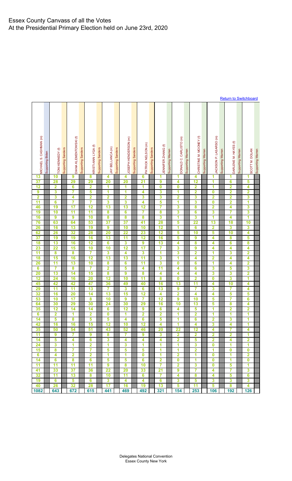| MICHAEL S. CASHMAN (m)  | Supporting Biden | TONI KENNEDY (f)        | Supporting Sanders | DIANA KLEMENTOWSKI (f)   | <b>Supporting Sanders</b> | <risti-ann (f)<="" lyga="" td=""><td>Supporting Sanders</td><td>JAY BELLANCA (m)</td><td>Supporting Sanders</td><td>JOSEPH HENDERSON (m)</td><td>Supporting Sanders</td><td>PATRICK NELSON (m)</td><td>Supporting Sanders</td><td>JENNIFER ZHANG (f)</td><td>Supporting Warren</td><td>DONALD C. CARLISTO (m)</td><td>Supporting Warren</td><td>CHRISTINE M. MOONEY (f)</td><td>Supporting Warren</td><td>JACKSON P. LASARSO (m)</td><td>Supporting Warren</td><td>DARLENE M. HAYES (f)</td><td>Supporting Warren</td><td>SCOTT M. DOLAN</td><td>Supporting Warren</td></risti-ann> | Supporting Sanders | JAY BELLANCA (m)        | Supporting Sanders | JOSEPH HENDERSON (m) | Supporting Sanders | PATRICK NELSON (m) | Supporting Sanders | JENNIFER ZHANG (f)      | Supporting Warren | DONALD C. CARLISTO (m)  | Supporting Warren | CHRISTINE M. MOONEY (f) | Supporting Warren | JACKSON P. LASARSO (m)  | Supporting Warren | DARLENE M. HAYES (f)    | Supporting Warren | SCOTT M. DOLAN          | Supporting Warren |
|-------------------------|------------------|-------------------------|--------------------|--------------------------|---------------------------|-------------------------------------------------------------------------------------------------------------------------------------------------------------------------------------------------------------------------------------------------------------------------------------------------------------------------------------------------------------------------------------------------------------------------------------------------------------------------------------------------------------------------------------------------------------------------------------|--------------------|-------------------------|--------------------|----------------------|--------------------|--------------------|--------------------|-------------------------|-------------------|-------------------------|-------------------|-------------------------|-------------------|-------------------------|-------------------|-------------------------|-------------------|-------------------------|-------------------|
|                         |                  |                         |                    |                          |                           |                                                                                                                                                                                                                                                                                                                                                                                                                                                                                                                                                                                     |                    |                         |                    |                      |                    |                    |                    |                         |                   |                         |                   |                         |                   |                         |                   |                         |                   |                         |                   |
| 13                      |                  | 10                      |                    | 9                        |                           | 8                                                                                                                                                                                                                                                                                                                                                                                                                                                                                                                                                                                   |                    | 4                       |                    | 4                    |                    | 6                  |                    | 1                       |                   | 1                       |                   | 4                       |                   | 1                       |                   | 1                       |                   | 1                       |                   |
| 37                      |                  | 28                      |                    | 29                       |                           | 29                                                                                                                                                                                                                                                                                                                                                                                                                                                                                                                                                                                  |                    | 20                      |                    | 20                   |                    | 21                 |                    | 9                       |                   | 4                       |                   | 12                      |                   | 1                       |                   | 6                       |                   | 5                       |                   |
| 12                      |                  | 2                       |                    | $\overline{\bf{6}}$      |                           | $\overline{\mathbf{2}}$                                                                                                                                                                                                                                                                                                                                                                                                                                                                                                                                                             |                    | 1                       |                    | 1                    |                    | 1                  |                    | $\overline{\mathbf{0}}$ |                   | 0                       |                   | $\overline{\mathbf{2}}$ |                   | 1                       |                   | $\overline{\mathbf{2}}$ |                   | 4                       |                   |
|                         |                  |                         |                    |                          |                           |                                                                                                                                                                                                                                                                                                                                                                                                                                                                                                                                                                                     |                    |                         |                    |                      |                    |                    |                    |                         |                   |                         |                   |                         |                   |                         |                   |                         |                   |                         |                   |
| 9                       |                  | 3                       |                    | 7                        |                           | 5                                                                                                                                                                                                                                                                                                                                                                                                                                                                                                                                                                                   |                    | 1                       |                    | 1                    |                    | 4                  |                    | 3                       |                   | 1                       |                   | 2                       |                   | $\bf{0}$                |                   | 2                       |                   | $\overline{\mathbf{2}}$ |                   |
| $\overline{\mathbf{2}}$ |                  | 3                       |                    | 4                        |                           | $\overline{2}$                                                                                                                                                                                                                                                                                                                                                                                                                                                                                                                                                                      |                    | 2                       |                    | 2                    |                    | 3                  |                    | 3                       |                   | 2                       |                   | 3                       |                   | $\overline{\mathbf{2}}$ |                   | $\overline{\mathbf{2}}$ |                   | 3                       |                   |
| 11                      |                  | $\overline{\mathbf{6}}$ |                    | 7                        |                           | $\overline{7}$                                                                                                                                                                                                                                                                                                                                                                                                                                                                                                                                                                      |                    | 3                       |                    | 3                    |                    | 4                  |                    | 5                       |                   | 1                       |                   | $\overline{\mathbf{3}}$ |                   | $\bf{0}$                |                   | $\overline{\mathbf{2}}$ |                   | 1                       |                   |
| 46                      |                  | 19                      |                    | $\overline{\mathbf{17}}$ |                           | 12                                                                                                                                                                                                                                                                                                                                                                                                                                                                                                                                                                                  |                    | 13                      |                    | 13                   |                    | 12                 |                    | 7                       |                   | 3                       |                   | 8                       |                   | $\overline{\mathbf{2}}$ |                   | 4                       |                   | 3                       |                   |
| 19                      |                  | 10                      |                    | $\overline{11}$          |                           | $\overline{11}$                                                                                                                                                                                                                                                                                                                                                                                                                                                                                                                                                                     |                    | 8                       |                    | 6                    |                    | 7                  |                    | 8                       |                   | 3                       |                   | $\overline{\bf{6}}$     |                   | 3                       |                   | 7                       |                   | 3                       |                   |
| 16                      |                  | 9                       |                    | 9                        |                           | 10                                                                                                                                                                                                                                                                                                                                                                                                                                                                                                                                                                                  |                    | 8                       |                    | 8                    |                    | 8                  |                    | 3                       |                   | 1                       |                   | 3                       |                   | 1                       |                   | 4                       |                   | 1                       |                   |
|                         |                  |                         |                    |                          |                           |                                                                                                                                                                                                                                                                                                                                                                                                                                                                                                                                                                                     |                    |                         |                    |                      |                    |                    |                    |                         |                   |                         |                   |                         |                   |                         |                   |                         |                   |                         |                   |
| 76                      |                  | 63                      |                    | 64                       |                           | 53                                                                                                                                                                                                                                                                                                                                                                                                                                                                                                                                                                                  |                    | 37                      |                    | 37                   |                    | 41                 |                    | 28                      |                   | 5                       |                   | 22                      |                   | 13                      |                   | 18                      |                   | 10                      |                   |
| 26                      |                  | 16                      |                    | 13                       |                           | 19                                                                                                                                                                                                                                                                                                                                                                                                                                                                                                                                                                                  |                    | 9                       |                    | 10                   |                    | 10                 |                    | 12                      |                   | 1                       |                   | 6                       |                   | $\overline{\mathbf{2}}$ |                   | $\overline{\mathbf{3}}$ |                   | $\overline{\mathbf{3}}$ |                   |
| 62                      |                  | 26                      |                    | 32                       |                           | 28                                                                                                                                                                                                                                                                                                                                                                                                                                                                                                                                                                                  |                    | 20                      |                    | 22                   |                    | 23                 |                    | $\overline{12}$         |                   | 5                       |                   | 10                      |                   | 5                       |                   | 10                      |                   | 4                       |                   |
| 37                      |                  | 19                      |                    | 19                       |                           | 16                                                                                                                                                                                                                                                                                                                                                                                                                                                                                                                                                                                  |                    | 13                      |                    | 11                   |                    | 12                 |                    | 16                      |                   | 5                       |                   | 9                       |                   | 4                       |                   | 8                       |                   | 5                       |                   |
| 18                      |                  | 13                      |                    | 16                       |                           | 12                                                                                                                                                                                                                                                                                                                                                                                                                                                                                                                                                                                  |                    | 6                       |                    | 3                    |                    | 9                  |                    | $\overline{13}$         |                   | 4                       |                   | 8                       |                   | 4                       |                   | 6                       |                   | 8                       |                   |
| 23                      |                  | 22                      |                    | 15                       |                           | 10                                                                                                                                                                                                                                                                                                                                                                                                                                                                                                                                                                                  |                    | 10                      |                    | 12                   |                    | 17                 |                    | 7                       |                   | 3                       |                   | 9                       |                   | 4                       |                   | 4                       |                   | 4                       |                   |
|                         |                  |                         |                    |                          |                           |                                                                                                                                                                                                                                                                                                                                                                                                                                                                                                                                                                                     |                    |                         |                    |                      |                    |                    |                    |                         |                   |                         |                   |                         |                   |                         |                   |                         |                   |                         |                   |
| $\overline{11}$         |                  | 8                       |                    | 8                        |                           | 7                                                                                                                                                                                                                                                                                                                                                                                                                                                                                                                                                                                   |                    | 3                       |                    | 4                    |                    | 3                  |                    | 1                       |                   | 3                       |                   | 2                       |                   | 1                       |                   | 3                       |                   | $\overline{\mathbf{2}}$ |                   |
| 18                      |                  | 15                      |                    | 16                       |                           | 12                                                                                                                                                                                                                                                                                                                                                                                                                                                                                                                                                                                  |                    | 13                      |                    | 13                   |                    | $\overline{11}$    |                    | 3                       |                   | 1                       |                   | 4                       |                   | 2                       |                   | 4                       |                   | 4                       |                   |
| 26                      |                  | $\overline{11}$         |                    | 13                       |                           | 10                                                                                                                                                                                                                                                                                                                                                                                                                                                                                                                                                                                  |                    | 8                       |                    | 6                    |                    | $\overline{11}$    |                    | 3                       |                   | $\mathbf 0$             |                   | $\overline{\mathbf{6}}$ |                   | 1                       |                   | 4                       |                   | $\overline{\mathbf{2}}$ |                   |
| $\boldsymbol{6}$        |                  | 7                       |                    | 8                        |                           | 7                                                                                                                                                                                                                                                                                                                                                                                                                                                                                                                                                                                   |                    | $\overline{\mathbf{2}}$ |                    | 5                    |                    | 4                  |                    | 11                      |                   | 4                       |                   | 6                       |                   | 3                       |                   | 5                       |                   | 3                       |                   |
| 20                      |                  | 13                      |                    | 14                       |                           | 15                                                                                                                                                                                                                                                                                                                                                                                                                                                                                                                                                                                  |                    | 8                       |                    | 9                    |                    | 8                  |                    | 4                       |                   | 4                       |                   | 4                       |                   | 3                       |                   | $\overline{\mathbf{3}}$ |                   | $\overline{\mathbf{2}}$ |                   |
| 12                      |                  | 24                      |                    | 16                       |                           | 20                                                                                                                                                                                                                                                                                                                                                                                                                                                                                                                                                                                  |                    | 12                      |                    | 10                   |                    | 11                 |                    | 8                       |                   | 0                       |                   | $\overline{\mathbf{2}}$ |                   | 0                       |                   | 3                       |                   | 1                       |                   |
| 45                      |                  | 42                      |                    | 42                       |                           | 47                                                                                                                                                                                                                                                                                                                                                                                                                                                                                                                                                                                  |                    | 36                      |                    | 49                   |                    | 40                 |                    | 16                      |                   | 13                      |                   | 11                      |                   | 4                       |                   | 10                      |                   | 4                       |                   |
|                         |                  |                         |                    |                          |                           |                                                                                                                                                                                                                                                                                                                                                                                                                                                                                                                                                                                     |                    |                         |                    |                      |                    |                    |                    |                         |                   |                         |                   |                         |                   |                         |                   |                         |                   |                         |                   |
| 29                      |                  | 11                      |                    | $\overline{11}$          |                           | 13                                                                                                                                                                                                                                                                                                                                                                                                                                                                                                                                                                                  |                    | 7                       |                    | 3                    |                    | 6                  |                    | 13                      |                   | 9                       |                   | 7                       |                   | 3                       |                   | 7                       |                   | 4                       |                   |
| 32                      |                  | 16                      |                    | 20                       |                           | 14                                                                                                                                                                                                                                                                                                                                                                                                                                                                                                                                                                                  |                    | 13                      |                    | 15                   |                    | $\overline{12}$    |                    | 4                       |                   | 2                       |                   | 4                       |                   | 4                       |                   | 5                       |                   | 5                       |                   |
| 53                      |                  | 10                      |                    | $\overline{17}$          |                           | 8                                                                                                                                                                                                                                                                                                                                                                                                                                                                                                                                                                                   |                    | 10                      |                    | 9                    |                    | 7                  |                    | 12                      |                   | 9                       |                   | 10                      |                   | 5                       |                   | 7                       |                   | 6                       |                   |
| 64                      |                  | 30                      |                    | 29                       |                           | 30                                                                                                                                                                                                                                                                                                                                                                                                                                                                                                                                                                                  |                    | 24                      |                    | 30                   |                    | 29                 |                    | 16                      |                   | 10                      |                   | 13                      |                   | 5                       |                   | 8                       |                   | 4                       |                   |
| 35                      |                  | 12                      |                    | 14                       |                           | 14                                                                                                                                                                                                                                                                                                                                                                                                                                                                                                                                                                                  |                    | 6                       |                    | 12                   |                    | 9                  |                    | 6                       |                   | 4                       |                   | 5                       |                   | 1                       |                   | 2                       |                   | 2                       |                   |
| $\overline{\mathbf{6}}$ |                  | $\overline{\mathbf{2}}$ |                    | 1                        |                           | $\overline{\mathbf{2}}$                                                                                                                                                                                                                                                                                                                                                                                                                                                                                                                                                             |                    | $\overline{\mathbf{0}}$ |                    | 1                    |                    | $\overline{2}$     |                    | $\overline{\mathbf{2}}$ |                   | 1                       |                   | 2                       |                   | 1                       |                   | 1                       |                   | 1                       |                   |
| 14                      |                  | 5                       |                    | 8                        |                           | 5                                                                                                                                                                                                                                                                                                                                                                                                                                                                                                                                                                                   |                    | 5                       |                    | 4                    |                    | 6                  |                    | 5                       |                   | 1                       |                   | 6                       |                   | $\overline{\mathbf{2}}$ |                   | 3                       |                   | 1                       |                   |
| 42                      |                  | 16                      |                    | 16                       |                           | 15                                                                                                                                                                                                                                                                                                                                                                                                                                                                                                                                                                                  |                    | 12                      |                    | 10                   |                    | 12                 |                    | 4                       |                   | 1                       |                   | 4                       |                   | 3                       |                   | 4                       |                   | 1                       |                   |
| 35                      |                  |                         |                    |                          |                           |                                                                                                                                                                                                                                                                                                                                                                                                                                                                                                                                                                                     |                    |                         |                    |                      |                    |                    |                    |                         |                   |                         |                   |                         |                   |                         |                   | $\overline{7}$          |                   |                         |                   |
|                         |                  | 50                      |                    | 54                       |                           | 51                                                                                                                                                                                                                                                                                                                                                                                                                                                                                                                                                                                  |                    | 43                      |                    | 52                   |                    | 46                 |                    | 20                      |                   | 22                      |                   | 12                      |                   | 4                       |                   |                         |                   | 4                       |                   |
| 11                      |                  | 9                       |                    | 7                        |                           | 9                                                                                                                                                                                                                                                                                                                                                                                                                                                                                                                                                                                   |                    | 8                       |                    | 7                    |                    | $\overline{9}$     |                    | 3                       |                   | 2                       |                   | $\overline{\mathbf{2}}$ |                   | $\overline{\mathbf{2}}$ |                   | $\overline{\mathbf{2}}$ |                   | 1                       |                   |
| 14                      |                  | 5                       |                    | 4                        |                           | 6                                                                                                                                                                                                                                                                                                                                                                                                                                                                                                                                                                                   |                    | 3                       |                    | 4                    |                    | 4                  |                    | 4                       |                   | $\overline{\mathbf{2}}$ |                   | 5                       |                   | $\overline{\mathbf{2}}$ |                   | 4                       |                   | $\overline{2}$          |                   |
| 24                      |                  | 3                       |                    | 1                        |                           | $\overline{\mathbf{2}}$                                                                                                                                                                                                                                                                                                                                                                                                                                                                                                                                                             |                    | 1                       |                    | 3                    |                    | 1                  |                    | 1                       |                   | 1                       |                   | 3                       |                   | $\bf{0}$                |                   | 1                       |                   | 1                       |                   |
| 15                      |                  | 8                       |                    | 7                        |                           | 7                                                                                                                                                                                                                                                                                                                                                                                                                                                                                                                                                                                   |                    | 5                       |                    | 5                    |                    | 5                  |                    | 1                       |                   | 1                       |                   | 2                       |                   | 1                       |                   | $\bf{0}$                |                   | 0                       |                   |
| $6\overline{6}$         |                  | 4                       |                    | $\overline{2}$           |                           | $\overline{\mathbf{2}}$                                                                                                                                                                                                                                                                                                                                                                                                                                                                                                                                                             |                    | 1                       |                    | 1                    |                    | $\bf{0}$           |                    | 1                       |                   | $\overline{2}$          |                   | 1                       |                   | $\bf{0}$                |                   | 1                       |                   | 2                       |                   |
| 14                      |                  | 6                       |                    | 8                        |                           | 6                                                                                                                                                                                                                                                                                                                                                                                                                                                                                                                                                                                   |                    | 5                       |                    | 5                    |                    | 6                  |                    | $\overline{\mathbf{2}}$ |                   | $\bf{0}$                |                   | 1                       |                   | $\bf{0}$                |                   | 1                       |                   | $\bf{0}$                |                   |
| 11                      |                  | $\overline{11}$         |                    | $\overline{11}$          |                           | $\overline{11}$                                                                                                                                                                                                                                                                                                                                                                                                                                                                                                                                                                     |                    | $\overline{9}$          |                    | 8                    |                    | 10                 |                    | 7                       |                   | $\overline{\mathbf{2}}$ |                   | 3                       |                   | $\bf{0}$                |                   | 5                       |                   | 1                       |                   |
|                         |                  |                         |                    |                          |                           |                                                                                                                                                                                                                                                                                                                                                                                                                                                                                                                                                                                     |                    |                         |                    |                      |                    |                    |                    |                         |                   |                         |                   |                         |                   |                         |                   |                         |                   |                         |                   |
| 41                      |                  | 33                      |                    | 37                       |                           | 36                                                                                                                                                                                                                                                                                                                                                                                                                                                                                                                                                                                  |                    | $\overline{22}$         |                    | 20                   |                    | 33                 |                    | 21                      |                   | 9                       |                   | 7                       |                   | 4                       |                   | $\overline{7}$          |                   | $\mathbf{3}$            |                   |
| 32                      |                  | 11                      |                    | 13                       |                           | 8                                                                                                                                                                                                                                                                                                                                                                                                                                                                                                                                                                                   |                    | 10                      |                    | 11                   |                    | 6                  |                    | 7                       |                   | 4                       |                   | 8                       |                   | 4                       |                   | 5                       |                   | 6                       |                   |
| 19                      |                  | 6                       |                    | 5                        |                           | 6                                                                                                                                                                                                                                                                                                                                                                                                                                                                                                                                                                                   |                    | 3                       |                    | 4                    |                    | 4                  |                    | 6                       |                   | 3                       |                   | 5                       |                   | 3                       |                   | 3                       |                   | 3                       |                   |
| 40                      |                  | 26                      |                    | 32                       |                           | 28                                                                                                                                                                                                                                                                                                                                                                                                                                                                                                                                                                                  |                    | 17                      |                    | 16                   |                    | 19                 |                    | 13                      |                   | 5                       |                   | 11                      |                   | 5                       |                   | 8                       |                   | 4                       |                   |
| 1082                    |                  | 643                     |                    | 672                      |                           | 615                                                                                                                                                                                                                                                                                                                                                                                                                                                                                                                                                                                 |                    | 441                     |                    | 469                  |                    | 492                |                    | 321                     |                   | 154                     |                   | 253                     |                   | 106                     |                   | 192                     |                   | 126                     |                   |

**[Return to Switchboard](#page-0-0)**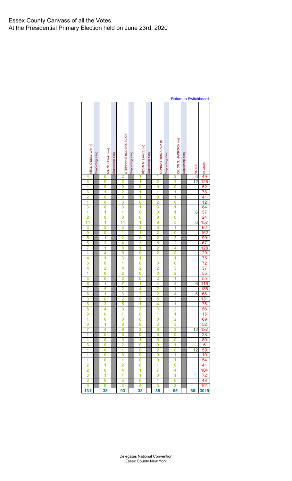|                              |                 |                 |                 |                              |                 |                              |                 |                         |                 |                              |                 | <b>Return to Switchboard</b> |                                                  |
|------------------------------|-----------------|-----------------|-----------------|------------------------------|-----------------|------------------------------|-----------------|-------------------------|-----------------|------------------------------|-----------------|------------------------------|--------------------------------------------------|
|                              |                 |                 |                 |                              |                 |                              |                 |                         |                 |                              |                 |                              |                                                  |
|                              |                 |                 |                 |                              |                 |                              |                 |                         |                 |                              |                 |                              |                                                  |
|                              |                 |                 |                 |                              |                 |                              |                 |                         |                 |                              |                 |                              |                                                  |
|                              |                 |                 |                 | STEPHANIE BODENSIECK (f)     |                 |                              |                 |                         |                 |                              |                 |                              |                                                  |
|                              |                 |                 |                 |                              |                 |                              |                 |                         |                 |                              |                 |                              |                                                  |
|                              |                 |                 |                 |                              |                 |                              |                 |                         |                 |                              |                 |                              |                                                  |
| KELLI O'SULLIVAN (f)         | Supporting Yang | MARK LIENAU (m) | Supporting Yang |                              | Supporting Yang | KEVIN M. LAAKE (m)           | Supporting Yang | DONNA TRIMM CALK (f)    | Supporting Yang | ORION G. HARRISON (m)        | Supporting Yang | VOIDS                        | <b>ABLANKS</b>                                   |
| 4                            |                 | 0               |                 | $\overline{\mathbf{2}}$      |                 | 1                            |                 | 1                       |                 | $\overline{\mathbf{2}}$      |                 | $\overline{6}$               |                                                  |
| 3                            |                 | Ō               |                 | 2                            |                 | 1                            |                 | 2                       |                 | 2                            |                 | 12                           |                                                  |
| 1<br>3                       |                 | Ō<br>1          |                 | O<br>$\overline{2}$          |                 | Ō<br>1                       |                 | 0<br>1                  |                 | O<br>1                       |                 |                              | $\frac{125}{52}$<br>78                           |
| 2                            |                 | O               |                 | $\overline{\mathbf{0}}$      |                 | 1                            |                 | O                       |                 | 1                            |                 |                              | 41                                               |
| 1                            |                 | Ō               |                 | 3                            |                 | Ō                            |                 | 2                       |                 | $\overline{\mathbf{0}}$      |                 |                              | 12                                               |
| 3<br>1                       |                 | Ō<br>1          |                 | 3<br>1                       |                 | 1<br>Ō                       |                 | 3<br>Ō                  |                 | 1<br>1                       |                 | $\overline{6}$               | 84<br>57<br>24<br>157<br>62<br>162<br>99         |
| 2                            |                 | Ō               |                 | Ō                            |                 | Ō                            |                 | Ō                       |                 | O                            |                 |                              |                                                  |
| 11                           |                 | 1               |                 | $\overline{11}$              |                 | $\overline{\mathbf{1}}$      |                 | 9                       |                 | 5                            |                 | 6                            |                                                  |
| 3                            |                 | 2               |                 | 3                            |                 | 3                            |                 | 3                       |                 | 1                            |                 |                              |                                                  |
| $\overline{\mathbf{0}}$<br>5 |                 | Ō<br>1          |                 | $\overline{\mathbf{1}}$<br>2 |                 | $\overline{\mathbf{1}}$<br>Ō |                 | $\frac{2}{2}$           |                 | $\overline{\mathbf{0}}$<br>3 |                 |                              |                                                  |
| 5                            |                 | 3               |                 | 4                            |                 | 3                            |                 |                         |                 | 2                            |                 |                              |                                                  |
| 7                            |                 | 1               |                 | Ō                            |                 | 1                            |                 |                         |                 | 4                            |                 |                              |                                                  |
| 1                            |                 | 4               |                 | $\overline{\mathbf{0}}$      |                 | 0                            |                 | $\frac{2}{1}$           |                 | $\overline{\mathbf{0}}$      |                 |                              | $\frac{67}{128}$ $\frac{20}{75}$ $\frac{75}{72}$ |
| 4<br>3                       |                 | 1<br>Ō          |                 | 3<br>1                       |                 | 1<br>Ō                       |                 | Ō                       |                 | 1<br>Ō                       |                 |                              |                                                  |
| 4                            |                 | 2               |                 | 4                            |                 | 2                            |                 | 2                       |                 | 3                            |                 |                              |                                                  |
| $\overline{\mathbf{1}}$      |                 | Ō               |                 | 2                            |                 | Ō                            |                 | $\overline{\mathbf{0}}$ |                 | 2                            |                 |                              | $\frac{37}{55}$                                  |
| 3<br>6                       |                 | O               |                 | 3<br>7                       |                 | O                            |                 | 2                       |                 | 1                            |                 |                              | 55                                               |
| 7                            |                 | 1<br>5          |                 | 2                            |                 | 1<br>4                       |                 | 4<br>2                  |                 | 4<br>1                       |                 | $\overline{6}$               | 116                                              |
| 6                            |                 | 1               |                 | 3                            |                 | 2                            |                 |                         |                 | 4                            |                 | 6                            | 138<br>66                                        |
| $\frac{3}{8}$                |                 | Ō               |                 | $\frac{2}{5}$                |                 | 0                            |                 | $\frac{2}{5}$           |                 | $\frac{3}{1}$                |                 |                              | 131                                              |
|                              |                 | 3               |                 |                              |                 | $\overline{\mathbf{1}}$      |                 |                         |                 |                              |                 |                              | 75                                               |
| 6<br>0                       |                 | 4<br>0          |                 | 3<br>1                       |                 | $\overline{2}$<br>0          |                 | 3<br>1                  |                 | $\overline{2}$<br>1          |                 |                              | ၁၀<br>15                                         |
| 1                            |                 | 0               |                 | 0                            |                 | 0                            |                 | 0                       |                 | $\overline{\mathbf{2}}$      |                 |                              | 69                                               |
| 0                            |                 | 1               |                 | 0                            |                 | 0                            |                 | 3                       |                 | 3                            |                 |                              | 52                                               |
| 7                            |                 | 4               |                 | 6                            |                 | 3                            |                 | 8                       |                 | 3                            |                 | 12                           | 187                                              |
| 1                            |                 | 0<br>$\bf{0}$   |                 | 0<br>$\bf{0}$                |                 | 0                            |                 | 0<br>$\bf{0}$           |                 | 0<br>$\bf{0}$                |                 |                              | 28                                               |
| 1<br>3                       |                 | 0               |                 | 2                            |                 | 1<br>0                       |                 | 0                       |                 | 1                            |                 |                              | 80<br>$6\phantom{1}6$                            |
| 1                            |                 | 0               |                 | 1                            |                 | 0                            |                 | 2                       |                 | 0                            |                 | 12                           | 59                                               |
| 1                            |                 | 0               |                 | 0                            |                 | 0                            |                 | 0                       |                 | 1                            |                 |                              | 10                                               |
| 1                            |                 | 0               |                 | 1                            |                 | 0                            |                 | 0                       |                 | 1                            |                 |                              | 54                                               |
| $\overline{\mathbf{2}}$<br>2 |                 | 1<br>0          |                 | $\overline{\mathbf{2}}$<br>4 |                 | 0<br>1                       |                 | 1<br>7                  |                 | 0<br>4                       |                 |                              | 41<br>104                                        |
| 3                            |                 | 1               |                 | 1                            |                 | 1                            |                 | 0                       |                 | 1                            |                 |                              | $\overline{72}$                                  |
| $\overline{\mathbf{2}}$      |                 | 0               |                 | 3                            |                 | $\bf{0}$                     |                 | 1                       |                 | $\bf{0}$                     |                 |                              | 48                                               |
| 3                            |                 | 0               |                 | 3                            |                 | 5                            |                 | 3                       |                 | $\overline{\mathbf{3}}$      |                 |                              | 101                                              |
| 131                          |                 | 38              |                 | 93                           |                 | 38                           |                 | 85                      |                 | 65                           |                 | 66                           | 3019                                             |